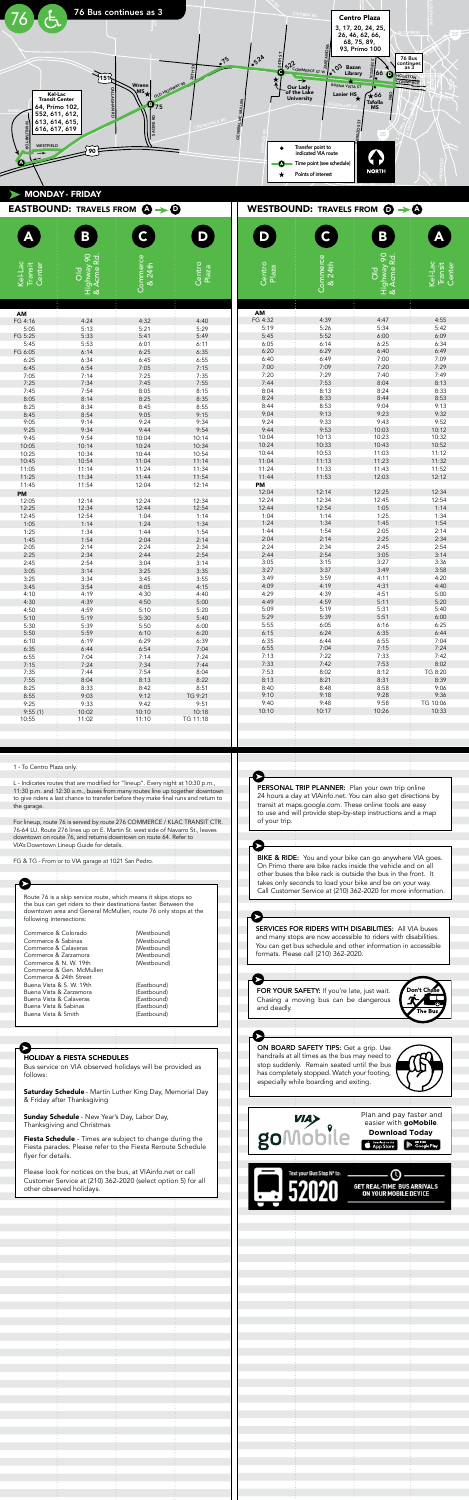

|                              | <b>EASTBOUND: TRAVELS FROM <math>\mathbf{Q} \rightarrow \mathbf{Q}</math></b> |                    |                 |                 | WESTBOUND: TRAVELS FROM $\odot \rightarrow \odot$ |                                                  |                              |
|------------------------------|-------------------------------------------------------------------------------|--------------------|-----------------|-----------------|---------------------------------------------------|--------------------------------------------------|------------------------------|
|                              | B                                                                             | $\mathsf{C}$       | D               | D               | $\mathsf{C}$                                      | ${\bf B}$                                        | Ą                            |
| Kel-Lac<br>Center<br>Transit | Highway 90<br>& Acme Rd.<br>$\overline{O}$                                    | Commerce<br>& 24th | Centro<br>Plaza | Centro<br>Plaza | Commerce<br>& 24th                                | Highway 90<br>& Acme Rd.<br>$\frac{1}{\sqrt{2}}$ | Kel-Lac<br>Transit<br>Center |
| AM                           |                                                                               |                    |                 | AM              | í.                                                | ŧ                                                |                              |
| FG 4:16                      | 4:24                                                                          | 4:32               | 4:40            | FG 4:32         | 4:39                                              | 4:47                                             | 4:55                         |
| 5:05                         | 5:13                                                                          | 5:21               | 5:29            | 5:19            | 5:26                                              | 5:34                                             | 5:42                         |
| FG 5:25                      | 5:33                                                                          | 5:41               | 5:49            | 5:45            | 5:52                                              | 6:00                                             | 6:09                         |
| 5:45                         | 5:53                                                                          | 6:01               | 6:11            | 6:05<br>6:20    | 6:14<br>6:29                                      | 6:25<br>6:40                                     | 6:34<br>6:49                 |
| FG 6:05<br>6:25              | 6:14<br>6:34                                                                  | 6:25<br>6:45       | 6:35<br>6:55    | 6:40            | 6:49                                              | 7:00                                             | 7:09                         |
| 6:45                         | 6:54                                                                          | 7:05               | 7:15            | 7:00            | 7:09                                              | 7:20                                             | 7:29                         |
| 7:05                         | 7:14                                                                          | 7:25               | 7:35            | 7:20            | 7:29                                              | 7:40                                             | 7:49                         |
| 7:25                         | 7:34                                                                          | 7:45               | 7:55            | 7:44            | 7:53                                              | 8:04                                             | 8:13                         |
| 7:45                         | 7:54                                                                          | 8:05               | 8:15            | 8:04            | 8:13                                              | 8:24                                             | 8:33                         |
| 8:05                         | 8:14                                                                          | 8:25               | 8:35            | 8:24            | 8:33                                              | 8:44                                             | 8:53                         |
| 8:25                         | 8:34                                                                          | 8:45               | 8:55            | 8:44            | 8:53                                              | 9:04                                             | 9:13                         |
| 8:45                         | 8:54                                                                          | 9:05               | 9:15            | 9:04            | 9:13                                              | 9:23                                             | 9:32                         |
| 9:05                         | 9:14                                                                          | 9:24               | 9:34            | 9:24            | 9:33                                              | 9:43                                             | 9:52                         |
| 9:25                         | 9:34                                                                          | 9:44               | 9:54            | 9:44            | 9:53                                              | 10:03                                            | 10:12                        |
| 9:45                         | 9:54                                                                          | 10:04              | 10:14           | 10:04           | 10:13                                             | 10:23                                            | 10:32                        |
| 10:05                        | 10:14                                                                         | 10:24              | 10:34           | 10:24           | 10:33                                             | 10:43                                            | 10:52                        |
| 10:25                        | 10:34                                                                         | 10:44              | 10:54           | 10:44<br>11:04  | 10:53<br>11:13                                    | 11:03<br>11:23                                   | 11:12<br>11:32               |
| 10:45<br>11:05               | 10:54<br>11:14                                                                | 11:04<br>11:24     | 11:14<br>11:34  | 11:24           | 11:33                                             | 11:43                                            | 11:52                        |
| 11:25                        | 11:34                                                                         | 11:44              | 11:54           | 11:44           | 11:53                                             | 12:03                                            | 12:12                        |
| 11:45                        | 11:54                                                                         | 12:04              | 12:14           | PM              |                                                   |                                                  |                              |
| PM                           |                                                                               |                    |                 | 12:04           | 12:14                                             | 12:25                                            | 12:34                        |
| 12:05                        | 12:14                                                                         | 12:24              | 12:34           | 12:24           | 12:34                                             | 12:45                                            | 12:54                        |
| 12:25                        | 12:34                                                                         | 12:44              | 12:54           | 12:44           | 12:54                                             | 1:05                                             | 1:14                         |
| 12:45                        | 12:54                                                                         | 1:04               | 1:14            | 1:04            | 1:14                                              | 1:25                                             | 1:34                         |
| 1:05                         | 1:14                                                                          | 1:24               | 1:34            | 1:24            | 1:34                                              | 1:45                                             | 1:54                         |
| 1:25                         | 1:34                                                                          | 1:44               | 1:54            | 1:44            | 1:54                                              | 2:05                                             | 2:14                         |
| 1:45                         | 1:54                                                                          | 2:04               | 2:14            | 2:04            | 2:14                                              | 2:25                                             | 2:34                         |
| 2:05                         | 2:14                                                                          | 2:24               | 2:34            | 2:24            | 2:34                                              | 2:45                                             | 2:54                         |
| 2:25                         | 2:34                                                                          | 2:44               | 2:54            | 2:44<br>3:05    | 2:54<br>3:15                                      | 3:05<br>3:27                                     | 3:14<br>3:36                 |
| 2:45<br>3:05                 | 2:54<br>3:14                                                                  | 3:04<br>3:25       | 3:14<br>3:35    | 3:27            | 3:37                                              | 3:49                                             | 3:58                         |
| 3:25                         | 3:34                                                                          | 3:45               | 3:55            | 3:49            | 3:59                                              | 4:11                                             | 4:20                         |
| 3:45                         | 3:54                                                                          | 4:05               | 4:15            | 4:09            | 4:19                                              | 4:31                                             | 4:40                         |
| 4:10                         | 4:19                                                                          | 4:30               | 4:40            | 4:29            | 4:39                                              | 4:51                                             | 5:00                         |
| 4:30                         | 4:39                                                                          | 4:50               | 5:00            | 4:49            | 4:59                                              | 5:11                                             | 5:20                         |
| 4:50                         | 4:59                                                                          | 5:10               | 5:20            | 5:09            | 5:19                                              | 5:31                                             | 5:40                         |
| 5:10                         | 5:19                                                                          | 5:30               | 5:40            | 5:29            | 5:39                                              | 5:51                                             | 6:00                         |
| 5:30                         | 5:39                                                                          | 5:50               | 6:00            | 5:55            | 6:05                                              | 6:16                                             | 6:25                         |
| 5:50                         | 5:59                                                                          | 6:10               | 6:20            | 6:15            | 6:24                                              | 6:35                                             | 6:44                         |
| 6:10                         | 6:19                                                                          | 6:29               | 6:39            | 6:35            | 6:44                                              | 6:55                                             | 7:04                         |
| 6:35                         | 6:44                                                                          | 6:54               | 7:04            | 6:55            | 7:04                                              | 7:15                                             | 7:24                         |
| 6:55                         | 7:04                                                                          | 7:14               | 7:24            | 7:13<br>7:33    | 7:22<br>7:42                                      | 7:33<br>7:53                                     | 7:42<br>8:02                 |
| 7:15<br>7:35                 | 7:24<br>7:44                                                                  | 7:34<br>7:54       | 7:44<br>8:04    | 7:53            | 8:02                                              | 8:12                                             | TG 8:20                      |
| 7:55                         | 8:04                                                                          | 8:13               | 8:22            | 8:13            | 8:21                                              | 8:31                                             | 8:39                         |
| 8:25                         | 8:33                                                                          | 8:42               | 8:51            | 8:40            | 8:48                                              | 8:58                                             | 9:06                         |
| 8:55                         | 9:03                                                                          | 9:12               | TG 9:21         | 9:10            | 9:18                                              | 9:28                                             | 9:36                         |
| 9:25                         | 9:33                                                                          | 9:42               | 9:51            | 9:40            | 9:48                                              | 9:58                                             | TG 10:06                     |
| 9:55(1)                      | 10:02                                                                         | 10:10              | 10:18           | 10:10           | 10:17                                             | 10:26                                            | 10:33                        |
| 10:55                        | 11:02                                                                         | 11:10              | TG 11:18        |                 |                                                   |                                                  |                              |
|                              |                                                                               |                    |                 |                 |                                                   |                                                  |                              |
|                              |                                                                               |                    |                 |                 |                                                   |                                                  |                              |

Ш

24 hours a day at VIAinfo.net. You can also get directions by transit at maps.google.com. These online tools are easy

Call Customer Service at (210) 362-2020 for more information.



Customer Service at (210) 362-2020 (select option 5) for all

Plan and pay faster and easier with **goMobile**.

HOLIDAY & FIESTA SCHEDULES

Bus service on VIA observed holidays will be provided as

Saturday Schedule - Martin Luther King Day, Memorial Day

Fiesta Schedule - Times are subject to change during the

flyer for details.

- New Year's Day, Labor Day,

Thanksgiving and Christmas

easier with **goMobile**. **Download Today**

Plan and pay faster and easier with **goMobile**. **Download Today**